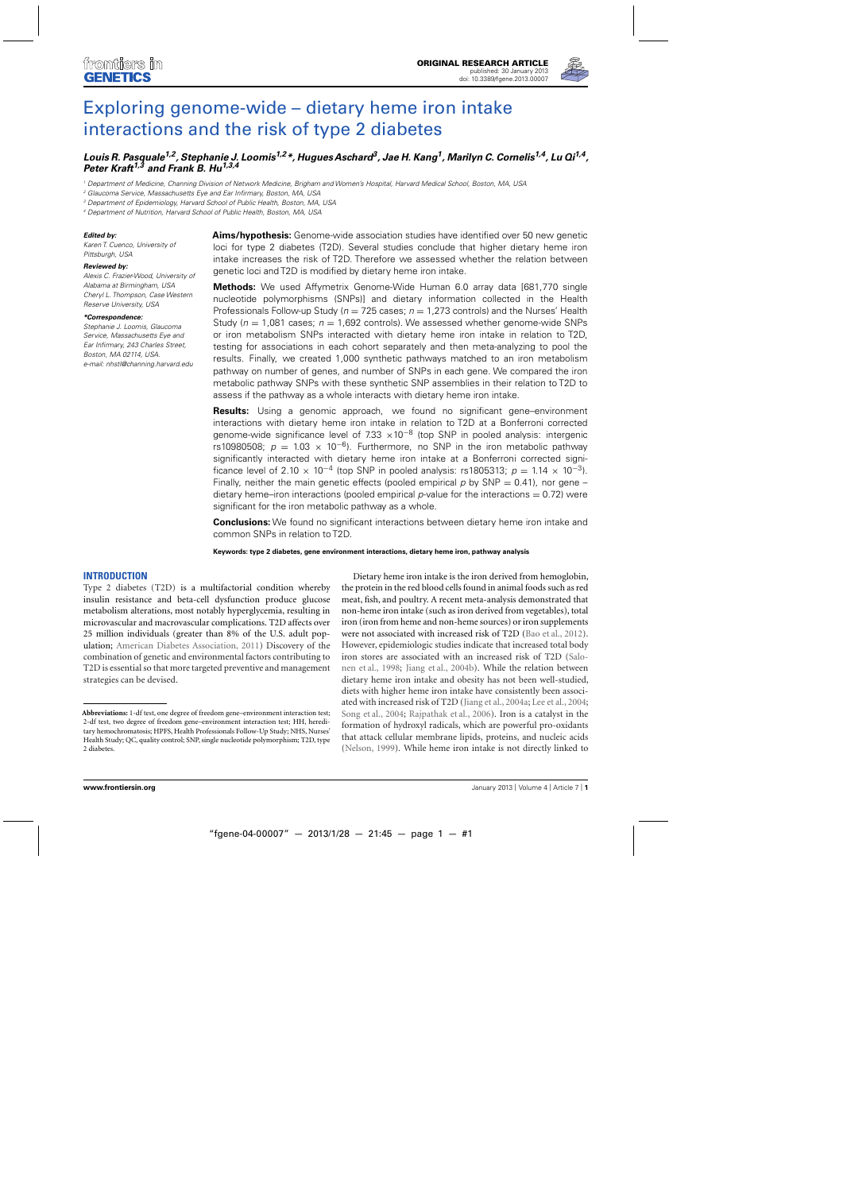

# [Exploring genome-wide – dietary heme iron intake](http://www.frontiersin.org/Applied_Genetic_Epidemiology/10.3389/fgene.2013.00007/abstract) interactions and the risk of type 2 diabetes

## *[Louis R. Pasquale1](http://www.frontiersin.org/Community/WhosWhoActivity.aspx?sname=LouisPasquale&UID=55954),2, [Stephanie J. Loomis1](http://www.frontiersin.org/Community/WhosWhoActivity.aspx?sname=StephanieLoomis&UID=70903),2\*, [Hugues Aschard3](http://www.frontiersin.org/Community/WhosWhoActivity.aspx?sname=HuguesAschard&UID=67980), Jae H. Kang1, [Marilyn C. Cornelis1](http://www.frontiersin.org/Community/WhosWhoActivity.aspx?sname=MarilynCornelis&UID=23790),4, [Lu Qi1](http://community.frontiersin.org/people/LuQi/30870),4, [Peter Kraft1](http://www.frontiersin.org/Community/WhosWhoActivity.aspx?sname=PeterKraft&UID=63889),3 and Frank B. Hu1,3,4*

<sup>1</sup> Department of Medicine, Channing Division of Network Medicine, Brigham and Women's Hospital, Harvard Medical School, Boston, MA, USA

<sup>2</sup> Glaucoma Service, Massachusetts Eye and Ear Infirmary, Boston, MA, USA

<sup>3</sup> Department of Epidemiology, Harvard School of Public Health, Boston, MA, USA

<sup>4</sup> Department of Nutrition, Harvard School of Public Health, Boston, MA, USA

#### *Edited by:*

Karen T. Cuenco, University of Pittsburgh, USA

#### *Reviewed by:*

Alexis C. Frazier-Wood, University of Alabama at Birmingham, USA Cheryl L. Thompson, Case Western Reserve University, USA

#### *\*Correspondence:*

Stephanie J. Loomis, Glaucoma Service, Massachusetts Eye and Ear Infirmary, 243 Charles Street, Boston, MA 02114, USA. e-mail: nhstl@channing.harvard.edu **Aims/hypothesis:** Genome-wide association studies have identified over 50 new genetic loci for type 2 diabetes (T2D). Several studies conclude that higher dietary heme iron intake increases the risk of T2D. Therefore we assessed whether the relation between genetic loci and T2D is modified by dietary heme iron intake.

**Methods:** We used Affymetrix Genome-Wide Human 6.0 array data [681,770 single nucleotide polymorphisms (SNPs)] and dietary information collected in the Health Professionals Follow-up Study ( $n = 725$  cases;  $n = 1,273$  controls) and the Nurses' Health Study ( $n = 1.081$  cases;  $n = 1.692$  controls). We assessed whether genome-wide SNPs or iron metabolism SNPs interacted with dietary heme iron intake in relation to T2D, testing for associations in each cohort separately and then meta-analyzing to pool the results. Finally, we created 1,000 synthetic pathways matched to an iron metabolism pathway on number of genes, and number of SNPs in each gene. We compared the iron metabolic pathway SNPs with these synthetic SNP assemblies in their relation to T2D to assess if the pathway as a whole interacts with dietary heme iron intake.

**Results:** Using a genomic approach, we found no significant gene–environment interactions with dietary heme iron intake in relation to T2D at a Bonferroni corrected genome-wide significance level of 7.33  $\times$ 10<sup>-8</sup> (top SNP in pooled analysis: intergenic rs10980508;  $p = 1.03 \times 10^{-6}$ ). Furthermore, no SNP in the iron metabolic pathway significantly interacted with dietary heme iron intake at a Bonferroni corrected significance level of 2.10  $\times$  10<sup>-4</sup> (top SNP in pooled analysis: rs1805313; p = 1.14  $\times$  10<sup>-3</sup>). Finally, neither the main genetic effects (pooled empirical p by SNP = 0.41), nor gene – dietary heme–iron interactions (pooled empirical p-value for the interactions  $= 0.72$ ) were significant for the iron metabolic pathway as a whole.

**Conclusions:** We found no significant interactions between dietary heme iron intake and common SNPs in relation to T2D.

**Keywords: type 2 diabetes, gene environment interactions, dietary heme iron, pathway analysis**

## **INTRODUCTION**

Type 2 diabetes (T2D) is a multifactorial condition whereby insulin resistance and beta-cell dysfunction produce glucose metabolism alterations, most notably hyperglycemia, resulting in microvascular and macrovascular complications. T2D affects over 25 million individuals (greater than 8% of the U.S. adult population; [American Diabetes Association](#page-4-0), [2011](#page-4-0)) Discovery of the combination of genetic and environmental factors contributing to T2D is essential so that more targeted preventive and management strategies can be devised.

Dietary heme iron intake is the iron derived from hemoglobin, the protein in the red blood cells found in animal foods such as red meat, fish, and poultry. A recent meta-analysis demonstrated that non-heme iron intake (such as iron derived from vegetables), total iron (iron from heme and non-heme sources) or iron supplements were not associated with increased risk of T2D [\(Bao et al., 2012](#page-4-0)). However, epidemiologic studies indicate that increased total body iron stores are associated with an increased risk of T2D (Salonen et al., [1998;](#page-5-0) [Jiang et al.](#page-4-0), [2004b\)](#page-4-0). While the relation between dietary heme iron intake and obesity has not been well-studied, diets with higher heme iron intake have consistently been associated with increased risk of T2D [\(Jiang et al., 2004a;](#page-4-0) [Lee et al., 2004;](#page-4-0) [Song et al.](#page-5-0), [2004;](#page-5-0) [Rajpathak et al.](#page-4-0), [2006](#page-4-0)). Iron is a catalyst in the formation of hydroxyl radicals, which are powerful pro-oxidants that attack cellular membrane lipids, proteins, and nucleic acids [\(Nelson](#page-4-0), [1999\)](#page-4-0). While heme iron intake is not directly linked to

**Abbreviations:** 1-df test, one degree of freedom gene–environment interaction test; 2-df test, two degree of freedom gene–environment interaction test; HH, hereditary hemochromatosis; HPFS, Health Professionals Follow-Up Study; NHS, Nurses' Health Study; QC, quality control; SNP, single nucleotide polymorphism; T2D, type 2 diabetes.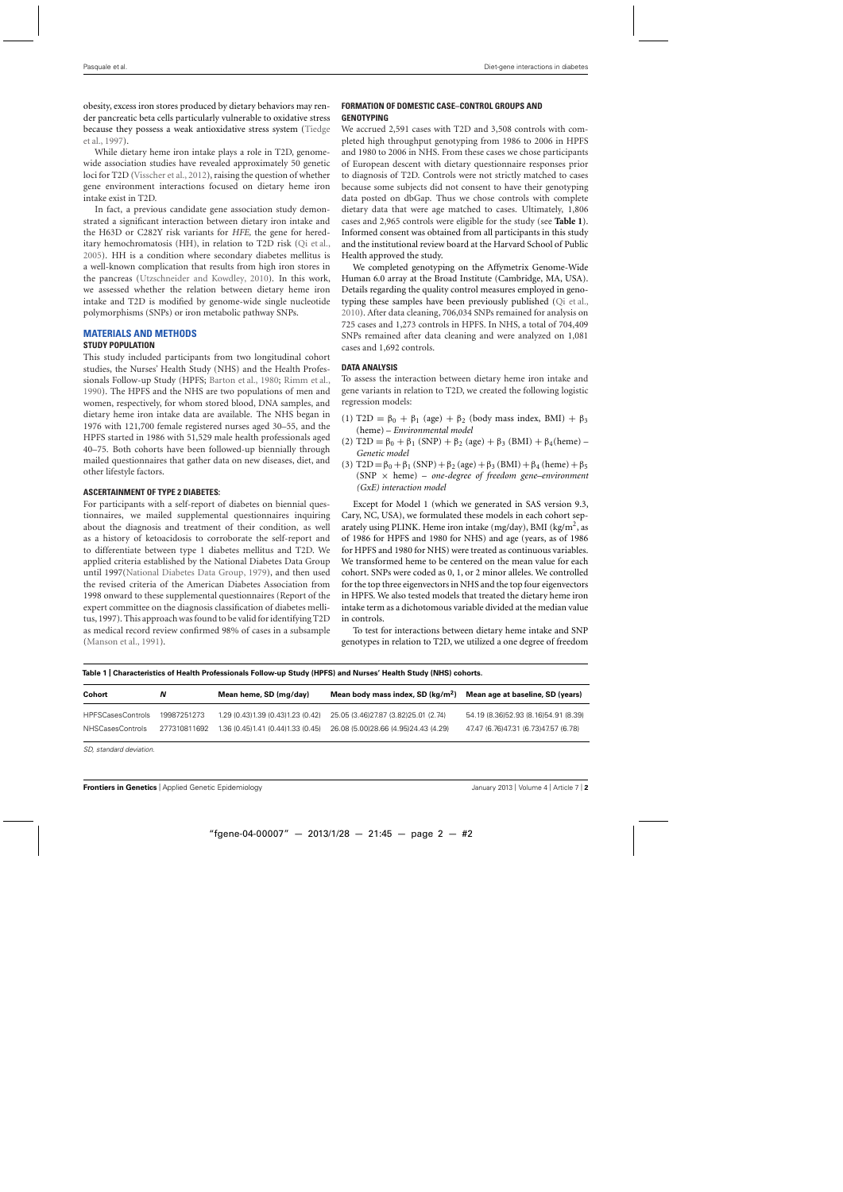<span id="page-1-0"></span>obesity, excess iron stores produced by dietary behaviors may render pancreatic beta cells particularly vulnerable to oxidative stress beca[use](#page-5-0) [they](#page-5-0) [possess](#page-5-0) [a](#page-5-0) [weak](#page-5-0) [antioxidative](#page-5-0) [stress](#page-5-0) [system](#page-5-0) [\(](#page-5-0)Tiedge et al., [1997](#page-5-0)).

While dietary heme iron intake plays a role in T2D, genomewide association studies have revealed approximately 50 genetic loci for T2D [\(Visscher et al., 2012\)](#page-5-0), raising the question of whether gene environment interactions focused on dietary heme iron intake exist in T2D.

In fact, a previous candidate gene association study demonstrated a significant interaction between dietary iron intake and the H63D or C282Y risk variants for *HFE,* the gene for hereditary hemochromatosis (HH), in relation to T2D risk [\(Qi et al.](#page-4-0), [2005\)](#page-4-0). HH is a condition where secondary diabetes mellitus is a well-known complication that results from high iron stores in the pancreas [\(Utzschneider and Kowdley](#page-5-0), [2010](#page-5-0)). In this work, we assessed whether the relation between dietary heme iron intake and T2D is modified by genome-wide single nucleotide polymorphisms (SNPs) or iron metabolic pathway SNPs.

## **MATERIALS AND METHODS**

## **STUDY POPULATION**

This study included participants from two longitudinal cohort studies, the Nurses' Health Study (NHS) and the Health Professionals Follow-up Study (HPFS; [Barton et al., 1980;](#page-4-0) [Rimm et al.](#page-4-0), [1990\)](#page-4-0). The HPFS and the NHS are two populations of men and women, respectively, for whom stored blood, DNA samples, and dietary heme iron intake data are available. The NHS began in 1976 with 121,700 female registered nurses aged 30–55, and the HPFS started in 1986 with 51,529 male health professionals aged 40–75. Both cohorts have been followed-up biennially through mailed questionnaires that gather data on new diseases, diet, and other lifestyle factors.

## **ASCERTAINMENT OF TYPE 2 DIABETES:**

For participants with a self-report of diabetes on biennial questionnaires, we mailed supplemental questionnaires inquiring about the diagnosis and treatment of their condition, as well as a history of ketoacidosis to corroborate the self-report and to differentiate between type 1 diabetes mellitus and T2D. We applied criteria established by the National Diabetes Data Group until 1997[\(National Diabetes Data Group](#page-4-0), [1979\)](#page-4-0), and then used the revised criteria of the American Diabetes Association from 1998 onward to these supplemental questionnaires (Report of the expert committee on the diagnosis classification of diabetes mellitus, 1997). This approach was found to be valid for identifying T2D as medical record review confirmed 98% of cases in a subsample [\(Manson et al.](#page-4-0), [1991\)](#page-4-0).

## **FORMATION OF DOMESTIC CASE–CONTROL GROUPS AND GENOTYPING**

We accrued 2,591 cases with T2D and 3,508 controls with completed high throughput genotyping from 1986 to 2006 in HPFS and 1980 to 2006 in NHS. From these cases we chose participants of European descent with dietary questionnaire responses prior to diagnosis of T2D. Controls were not strictly matched to cases because some subjects did not consent to have their genotyping data posted on dbGap. Thus we chose controls with complete dietary data that were age matched to cases. Ultimately, 1,806 cases and 2,965 controls were eligible for the study (see **Table 1**). Informed consent was obtained from all participants in this study and the institutional review board at the Harvard School of Public Health approved the study.

We completed genotyping on the Affymetrix Genome-Wide Human 6.0 array at the Broad Institute (Cambridge, MA, USA). Details regarding the quality control measures employed in genotyping these samples have been previously published [\(Qi et al.](#page-4-0), [2010\)](#page-4-0). After data cleaning, 706,034 SNPs remained for analysis on 725 cases and 1,273 controls in HPFS. In NHS, a total of 704,409 SNPs remained after data cleaning and were analyzed on 1,081 cases and 1,692 controls.

#### **DATA ANALYSIS**

To assess the interaction between dietary heme iron intake and gene variants in relation to T2D, we created the following logistic regression models:

- (1) T2D =  $\beta_0 + \beta_1$  (age) +  $\beta_2$  (body mass index, BMI) +  $\beta_3$ (heme) – *Environmental model*
- (2) T2D =  $\beta_0 + \beta_1$  (SNP) +  $\beta_2$  (age) +  $\beta_3$  (BMI) +  $\beta_4$ (heme) *Genetic model*
- (3) T2D =  $\beta_0 + \beta_1$  (SNP) +  $\beta_2$  (age) +  $\beta_3$  (BMI) +  $\beta_4$  (heme) +  $\beta_5$ (SNP × heme) – *one-degree of freedom gene–environment (GxE) interaction model*

Except for Model 1 (which we generated in SAS version 9.3, Cary, NC, USA), we formulated these models in each cohort separately using PLINK. Heme iron intake (mg/day), BMI (kg/m<sup>2</sup>, as of 1986 for HPFS and 1980 for NHS) and age (years, as of 1986 for HPFS and 1980 for NHS) were treated as continuous variables. We transformed heme to be centered on the mean value for each cohort. SNPs were coded as 0, 1, or 2 minor alleles. We controlled for the top three eigenvectors in NHS and the top four eigenvectors in HPFS. We also tested models that treated the dietary heme iron intake term as a dichotomous variable divided at the median value in controls.

To test for interactions between dietary heme intake and SNP genotypes in relation to T2D, we utilized a one degree of freedom

| Table 1   Characteristics of Health Professionals Follow-up Study (HPFS) and Nurses′ Health Study (NHS) cohorts. |  |
|------------------------------------------------------------------------------------------------------------------|--|
|------------------------------------------------------------------------------------------------------------------|--|

| Cohort                   | N            | Mean heme, SD (mg/day)              | Mean body mass index, SD $\frac{\log(m^2)}{2}$ | Mean age at baseline, SD (years)       |
|--------------------------|--------------|-------------------------------------|------------------------------------------------|----------------------------------------|
| <b>HPFSCasesControls</b> | 19987251273  | 1.29 (0.43) 1.39 (0.43) 1.23 (0.42) | 25.05 (3.46) 27.87 (3.82) 25.01 (2.74)         | 54.19 (8.36) 52.93 (8.16) 54.91 (8.39) |
| <b>NHSCasesControls</b>  | 277310811692 | 1.36 (0.45) 1.41 (0.44) 1.33 (0.45) | 26.08 (5.00)28.66 (4.95)24.43 (4.29)           | 47.47 (6.76) 47.31 (6.73) 47.57 (6.78) |

SD, standard deviation.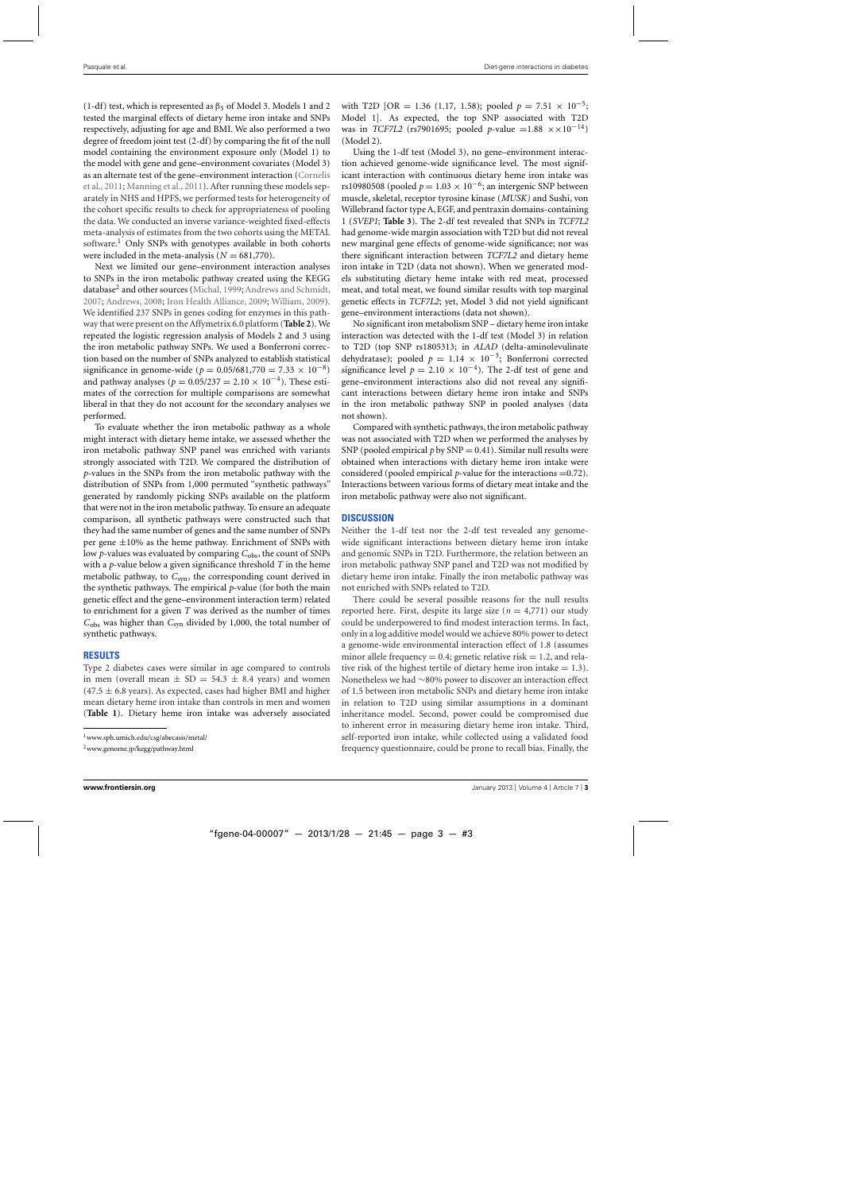(1-df) test, which is represented as  $\beta_5$  of Model 3. Models 1 and 2 tested the marginal effects of dietary heme iron intake and SNPs respectively, adjusting for age and BMI. We also performed a two degree of freedom joint test (2-df) by comparing the fit of the null model containing the environment exposure only (Model 1) to the model with gene and gene–environment covariates (Model 3) as a[n alternate test of the gene–environment interaction \(](#page-4-0)Cornelis et al., [2011;](#page-4-0) [Manning et al., 2011\)](#page-4-0). After running these models separately in NHS and HPFS, we performed tests for heterogeneity of the cohort specific results to check for appropriateness of pooling the data. We conducted an inverse variance-weighted fixed-effects meta-analysis of estimates from the two cohorts using the METAL software.<sup>1</sup> Only SNPs with genotypes available in both cohorts were included in the meta-analysis  $(N = 681,770)$ .

Next we limited our gene–environment interaction analyses to SNPs in the iron metabolic pathway created using the KEGG database<sup>2</sup> and other sources [\(Michal](#page-4-0), [1999](#page-4-0); [Andrews and Schmidt](#page-4-0), [2007;](#page-4-0) [Andrews, 2008](#page-4-0); [Iron Health Alliance](#page-4-0), [2009;](#page-4-0) [William, 2009](#page-5-0)). We identified 237 SNPs in genes coding for enzymes in this pathway that were present on the Affymetrix 6.0 platform (**[Table 2](#page-3-0)**). We repeated the logistic regression analysis of Models 2 and 3 using the iron metabolic pathway SNPs. We used a Bonferroni correction based on the number of SNPs analyzed to establish statistical significance in genome-wide ( $p = 0.05/681,770 = 7.33 \times 10^{-8}$ ) and pathway analyses ( $p = 0.05/237 = 2.10 \times 10^{-4}$ ). These estimates of the correction for multiple comparisons are somewhat liberal in that they do not account for the secondary analyses we performed.

To evaluate whether the iron metabolic pathway as a whole might interact with dietary heme intake, we assessed whether the iron metabolic pathway SNP panel was enriched with variants strongly associated with T2D. We compared the distribution of *p*-values in the SNPs from the iron metabolic pathway with the distribution of SNPs from 1,000 permuted "synthetic pathways" generated by randomly picking SNPs available on the platform that were not in the iron metabolic pathway. To ensure an adequate comparison, all synthetic pathways were constructed such that they had the same number of genes and the same number of SNPs per gene  $\pm 10\%$  as the heme pathway. Enrichment of SNPs with low *p*-values was evaluated by comparing  $C_{\text{obs}}$ , the count of SNPs with a *p*-value below a given significance threshold *T* in the heme metabolic pathway, to C<sub>syn</sub>, the corresponding count derived in the synthetic pathways. The empirical *p*-value (for both the main genetic effect and the gene–environment interaction term) related to enrichment for a given *T* was derived as the number of times *C*obs was higher than *C*syn divided by 1,000, the total number of synthetic pathways.

#### **RESULTS**

Type 2 diabetes cases were similar in age compared to controls in men (overall mean  $\pm$  SD = 54.3  $\pm$  8.4 years) and women  $(47.5 \pm 6.8 \text{ years})$ . As expected, cases had higher BMI and higher mean dietary heme iron intake than controls in men and women (**[Table 1](#page-1-0)**). Dietary heme iron intake was adversely associated with T2D [OR = 1.36 (1.17, 1.58); pooled  $p = 7.51 \times 10^{-5}$ ; Model 1]. As expected, the top SNP associated with T2D was in *TCF7L2* (rs7901695; pooled *p*-value =1.88  $\times \times 10^{-14}$ ) (Model 2).

Using the 1-df test (Model 3), no gene–environment interaction achieved genome-wide significance level. The most significant interaction with continuous dietary heme iron intake was rs10980508 (pooled  $p = 1.03 \times 10^{-6}$ ; an intergenic SNP between muscle, skeletal, receptor tyrosine kinase (*MUSK)* and Sushi, von Willebrand factor type A, EGF, and pentraxin domains-containing 1 (*SVEP1*; **[Table 3](#page-4-0)**). The 2-df test revealed that SNPs in *TCF7L2* had genome-wide margin association with T2D but did not reveal new marginal gene effects of genome-wide significance; nor was there significant interaction between *TCF7L2* and dietary heme iron intake in T2D (data not shown). When we generated models substituting dietary heme intake with red meat, processed meat, and total meat, we found similar results with top marginal genetic effects in *TCF7L2*; yet, Model 3 did not yield significant gene–environment interactions (data not shown).

No significant iron metabolism SNP – dietary heme iron intake interaction was detected with the 1-df test (Model 3) in relation to T2D (top SNP rs1805313; in *ALAD* (delta-aminolevulinate dehydratase); pooled  $p = 1.14 \times 10^{-3}$ ; Bonferroni corrected significance level  $p = 2.10 \times 10^{-4}$ ). The 2-df test of gene and gene–environment interactions also did not reveal any significant interactions between dietary heme iron intake and SNPs in the iron metabolic pathway SNP in pooled analyses (data not shown).

Compared with synthetic pathways, the iron metabolic pathway was not associated with T2D when we performed the analyses by SNP (pooled empirical  $p$  by SNP = 0.41). Similar null results were obtained when interactions with dietary heme iron intake were considered (pooled empirical *p*-value for the interactions =0.72). Interactions between various forms of dietary meat intake and the iron metabolic pathway were also not significant.

#### **DISCUSSION**

Neither the 1-df test nor the 2-df test revealed any genomewide significant interactions between dietary heme iron intake and genomic SNPs in T2D. Furthermore, the relation between an iron metabolic pathway SNP panel and T2D was not modified by dietary heme iron intake. Finally the iron metabolic pathway was not enriched with SNPs related to T2D.

There could be several possible reasons for the null results reported here. First, despite its large size ( $n = 4,771$ ) our study could be underpowered to find modest interaction terms. In fact, only in a log additive model would we achieve 80% power to detect a genome-wide environmental interaction effect of 1.8 (assumes minor allele frequency  $= 0.4$ ; genetic relative risk  $= 1.2$ , and relative risk of the highest tertile of dietary heme iron intake  $= 1.3$ ). Nonetheless we had ∼80% power to discover an interaction effect of 1.5 between iron metabolic SNPs and dietary heme iron intake in relation to T2D using similar assumptions in a dominant inheritance model. Second, power could be compromised due to inherent error in measuring dietary heme iron intake. Third, self-reported iron intake, while collected using a validated food frequency questionnaire, could be prone to recall bias. Finally, the

[<sup>1</sup>www.sph.umich.edu/csg/abecasis/metal/](http://www.sph.umich.edu/csg/abecasis/metal/)

[<sup>2</sup>www.genome.jp/kegg/pathway.html](http://www.genome.jp/kegg/pathway.html)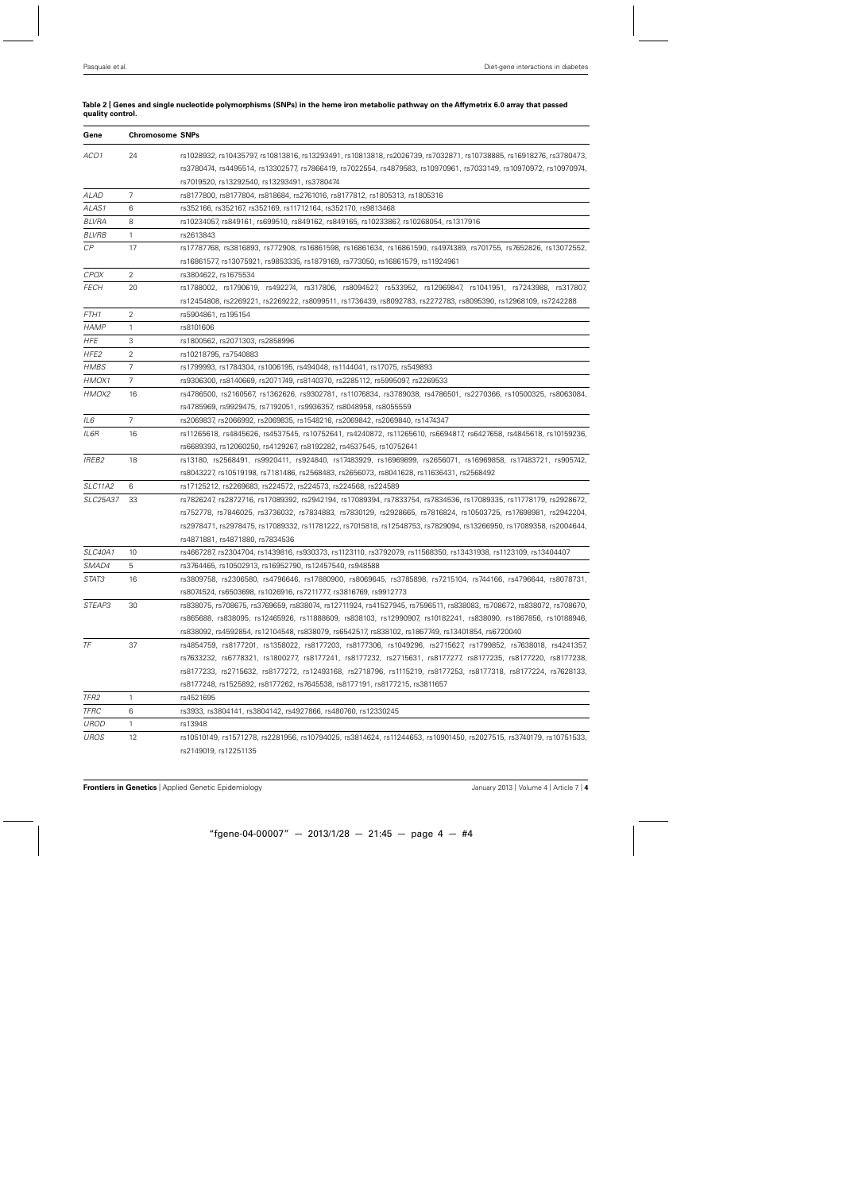| Gene            | <b>Chromosome SNPs</b> |                                                                                                                     |  |  |  |  |
|-----------------|------------------------|---------------------------------------------------------------------------------------------------------------------|--|--|--|--|
| ACO1            | 24                     | rs1028932, rs10435797, rs10813816, rs13293491, rs10813818, rs2026739, rs7032871, rs10738885, rs16918276, rs3780473, |  |  |  |  |
|                 |                        | rs3780474, rs4495514, rs13302577, rs7866419, rs7022554, rs4879583, rs10970961, rs7033149, rs10970972, rs10970974,   |  |  |  |  |
|                 |                        | rs7019520, rs13292540, rs13293491, rs3780474                                                                        |  |  |  |  |
| ALAD            | 7                      | rs8177800, rs8177804, rs818684, rs2761016, rs8177812, rs1805313, rs1805316                                          |  |  |  |  |
| ALAS1           | 6                      | rs352166, rs352167, rs352169, rs11712164, rs352170, rs9813468                                                       |  |  |  |  |
| <b>BLVRA</b>    | 8                      | rs10234057, rs849161, rs699510, rs849162, rs849165, rs10233867, rs10268054, rs1317916                               |  |  |  |  |
| <b>BLVRB</b>    | $\mathbf{1}$           | rs2613843                                                                                                           |  |  |  |  |
| $\mathcal{CP}$  | 17                     | rs17787768, rs3816893, rs772908, rs16861598, rs16861634, rs16861590, rs4974389, rs701755, rs7652826, rs13072552,    |  |  |  |  |
|                 |                        | rs16861577, rs13075921, rs9853335, rs1879169, rs773050, rs16861579, rs11924961                                      |  |  |  |  |
| <b>CPOX</b>     | $\overline{2}$         | rs3804622, rs1675534                                                                                                |  |  |  |  |
| <b>FECH</b>     | 20                     | rs1788002, rs1790619, rs492274, rs317806, rs8094527, rs533952, rs12969847, rs1041951, rs7243988, rs317807,          |  |  |  |  |
|                 |                        | rs12454808, rs2269221, rs2269222, rs8099511, rs1736439, rs8092783, rs2272783, rs8095390, rs12968109, rs7242288      |  |  |  |  |
| FTH1            | 2                      | rs5904861, rs195154                                                                                                 |  |  |  |  |
| <b>HAMP</b>     | $\mathbf{1}$           | rs8101606                                                                                                           |  |  |  |  |
| <b>HFE</b>      | 3                      | rs1800562, rs2071303, rs2858996                                                                                     |  |  |  |  |
| HFE2            | $\overline{2}$         | rs10218795, rs7540883                                                                                               |  |  |  |  |
| HMBS            | 7                      | rs1799993, rs1784304, rs1006195, rs494048, rs1144041, rs17075, rs549893                                             |  |  |  |  |
| HMOX1           | 7                      | rs9306300, rs8140669, rs2071749, rs8140370, rs2285112, rs5995097, rs2269533                                         |  |  |  |  |
| HMOX2           | 16                     | rs4786500, rs2160567, rs1362626, rs9302781, rs11076834, rs3789038, rs4786501, rs2270366, rs10500325, rs8063084,     |  |  |  |  |
|                 |                        | rs4785969, rs9929475, rs7192051, rs9936357, rs8048958, rs8055559                                                    |  |  |  |  |
| IL6             | $\overline{7}$         | rs2069837, rs2066992, rs2069835, rs1548216, rs2069842, rs2069840, rs1474347                                         |  |  |  |  |
| IL6R            | 16                     | rs11265618, rs4845626, rs4537545, rs10752641, rs4240872, rs11265610, rs6694817, rs6427658, rs4845618, rs10159236,   |  |  |  |  |
|                 |                        | rs6689393, rs12060250, rs4129267, rs8192282, rs4537545, rs10752641                                                  |  |  |  |  |
| <b>IREB2</b>    | 18                     | rs13180, rs2568491, rs9920411, rs924840, rs17483929, rs16969899, rs2656071, rs16969858, rs17483721, rs905742,       |  |  |  |  |
|                 |                        | rs8043227, rs10519198, rs7181486, rs2568483, rs2656073, rs8041628, rs11636431, rs2568492                            |  |  |  |  |
| SLC11A2         | 6                      | rs17125212, rs2269683, rs224572, rs224573, rs224568, rs224589                                                       |  |  |  |  |
| <b>SLC25A37</b> | 33                     | rs7826247, rs2872716, rs17089392, rs2942194, rs17089394, rs7833754, rs7834536, rs17089335, rs11778179, rs2928672,   |  |  |  |  |
|                 |                        | rs752778, rs7846025, rs3736032, rs7834883, rs7830129, rs2928665, rs7816824, rs10503725, rs17698981, rs2942204,      |  |  |  |  |
|                 |                        | rs2978471, rs2978475, rs17089332, rs11781222, rs7015818, rs12548753, rs7829094, rs13266950, rs17089358, rs2004644,  |  |  |  |  |
|                 |                        | rs4871881, rs4871880, rs7834536                                                                                     |  |  |  |  |
| <b>SLC40A1</b>  | 10                     | rs4667287, rs2304704, rs1439816, rs930373, rs1123110, rs3792079, rs11568350, rs13431938, rs1123109, rs13404407      |  |  |  |  |
| SMAD4           | 5                      | rs3764465, rs10502913, rs16952790, rs12457540, rs948588                                                             |  |  |  |  |
| STAT3           | 16                     | rs3809758, rs2306580, rs4796646, rs17880900, rs8069645, rs3785898, rs7215104, rs744166, rs4796644, rs8078731,       |  |  |  |  |
|                 |                        | rs8074524, rs6503698, rs1026916, rs7211777, rs3816769, rs9912773                                                    |  |  |  |  |
| STEAP3          | 30                     | rs838075, rs708675, rs3769659, rs838074, rs12711924, rs41527945, rs7596511, rs838083, rs708672, rs838072, rs708670, |  |  |  |  |
|                 |                        | rs865688, rs838095, rs12465926, rs11888609, rs838103, rs12990907, rs10182241, rs838090, rs1867856, rs10188946,      |  |  |  |  |
|                 |                        | rs838092, rs4592854, rs12104548, rs838079, rs6542517, rs838102, rs1867749, rs13401854, rs6720040                    |  |  |  |  |
| TF              | 37                     | rs4854759, rs8177201, rs1358022, rs8177203, rs8177306, rs1049296, rs2715627, rs1799852, rs7638018, rs4241357,       |  |  |  |  |
|                 |                        | rs7633232, rs6778321, rs1800277, rs8177241, rs8177232, rs2715631, rs8177277, rs8177235, rs8177220, rs8177238,       |  |  |  |  |
|                 |                        | rs8177233, rs2715632, rs8177272, rs12493168, rs2718796, rs1115219, rs8177253, rs8177318, rs8177224, rs7628133,      |  |  |  |  |
|                 |                        | rs8177248, rs1525892, rs8177262, rs7645538, rs8177191, rs8177215, rs3811657                                         |  |  |  |  |
| TFR2            | $\mathbf{1}$           | rs4521695                                                                                                           |  |  |  |  |
| <b>TFRC</b>     | 6                      | rs3933, rs3804141, rs3804142, rs4927866, rs480760, rs12330245                                                       |  |  |  |  |
| UROD            | 1                      | rs13948                                                                                                             |  |  |  |  |
| <b>UROS</b>     | 12                     | rs10510149, rs1571278, rs2281956, rs10794025, rs3814624, rs11244653, rs10901450, rs2027515, rs3740179, rs10751533,  |  |  |  |  |
|                 |                        | rs2149019, rs12251135                                                                                               |  |  |  |  |

#### <span id="page-3-0"></span>**Table 2 | Genes and single nucleotide polymorphisms (SNPs) in the heme iron metabolic pathway on the Affymetrix 6.0 array that passed quality control.**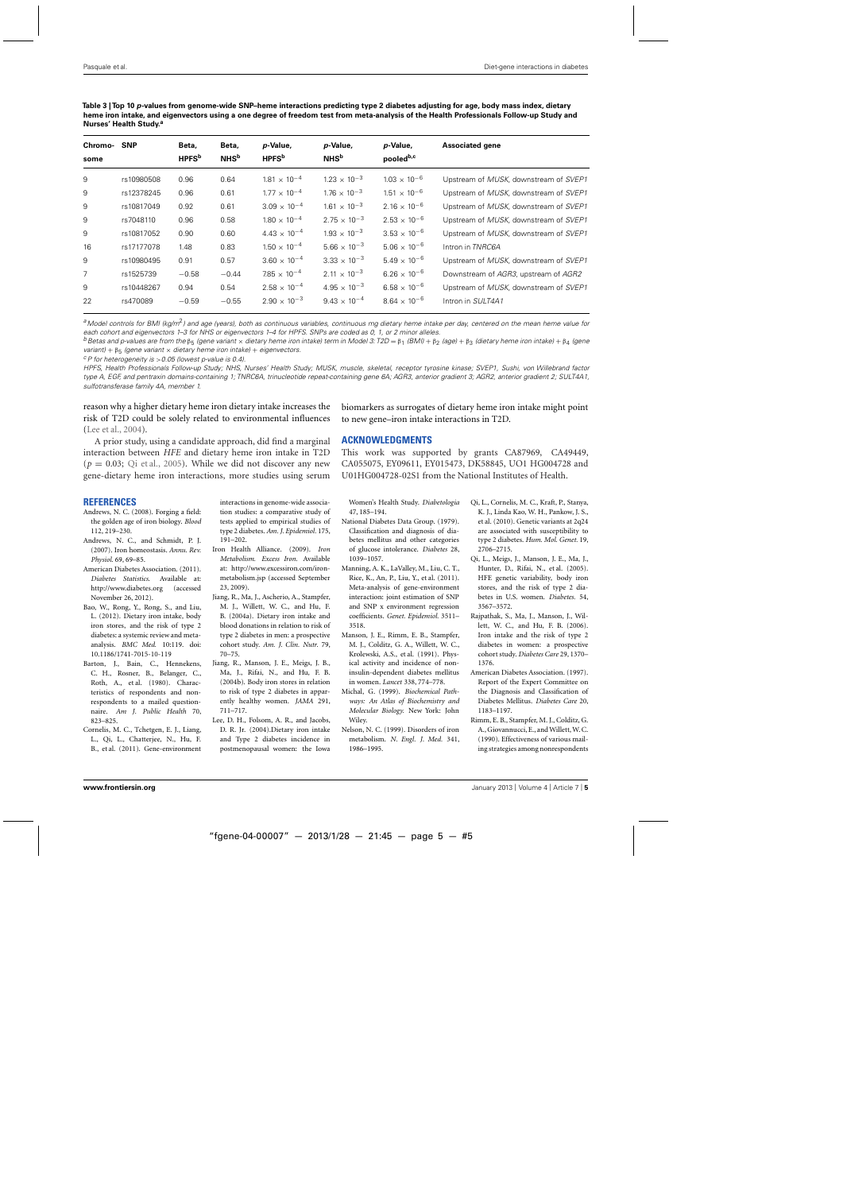| Chromo-<br>some | <b>SNP</b> | Beta,<br><b>HPFS</b> <sup>b</sup> | Beta,<br><b>NHS</b> <sup>b</sup> | p-Value,<br><b>HPFS</b> <sup>b</sup> | p-Value,<br><b>NHS</b> <sup>b</sup> | p-Value,<br>pooled <sup>b,c</sup> | <b>Associated gene</b>                |
|-----------------|------------|-----------------------------------|----------------------------------|--------------------------------------|-------------------------------------|-----------------------------------|---------------------------------------|
| 9               | rs10980508 | 0.96                              | 0.64                             | $1.81 \times 10^{-4}$                | $1.23 \times 10^{-3}$               | $1.03 \times 10^{-6}$             | Upstream of MUSK, downstream of SVEP1 |
| 9               | rs12378245 | 0.96                              | 0.61                             | $1.77 \times 10^{-4}$                | $1.76 \times 10^{-3}$               | $1.51 \times 10^{-6}$             | Upstream of MUSK, downstream of SVEP1 |
| 9               | rs10817049 | 0.92                              | 0.61                             | $3.09 \times 10^{-4}$                | $1.61 \times 10^{-3}$               | $2.16 \times 10^{-6}$             | Upstream of MUSK, downstream of SVEP1 |
| 9               | rs7048110  | 0.96                              | 0.58                             | $1.80 \times 10^{-4}$                | $2.75 \times 10^{-3}$               | $2.53 \times 10^{-6}$             | Upstream of MUSK, downstream of SVEP1 |
| 9               | rs10817052 | 0.90                              | 0.60                             | $4.43 \times 10^{-4}$                | $1.93 \times 10^{-3}$               | $3.53 \times 10^{-6}$             | Upstream of MUSK, downstream of SVEP1 |
| 16              | rs17177078 | 1.48                              | 0.83                             | $1.50 \times 10^{-4}$                | $5.66 \times 10^{-3}$               | $5.06 \times 10^{-6}$             | Intron in TNRC6A                      |
| 9               | rs10980495 | 0.91                              | 0.57                             | $3.60 \times 10^{-4}$                | $3.33 \times 10^{-3}$               | $5.49 \times 10^{-6}$             | Upstream of MUSK, downstream of SVEP1 |
| $\overline{7}$  | rs1525739  | $-0.58$                           | $-0.44$                          | $7.85 \times 10^{-4}$                | $2.11 \times 10^{-3}$               | $6.26 \times 10^{-6}$             | Downstream of AGR3, upstream of AGR2  |
| 9               | rs10448267 | 0.94                              | 0.54                             | $2.58 \times 10^{-4}$                | $4.95 \times 10^{-3}$               | $6.58 \times 10^{-6}$             | Upstream of MUSK, downstream of SVEP1 |
| 22              | rs470089   | $-0.59$                           | $-0.55$                          | $2.90 \times 10^{-3}$                | $9.43 \times 10^{-4}$               | $8.64 \times 10^{-6}$             | Intron in SULT4A1                     |
|                 |            |                                   |                                  |                                      |                                     |                                   |                                       |

<span id="page-4-0"></span>**Table 3 |Top 10** *p***-values from genome-wide SNP–heme interactions predicting type 2 diabetes adjusting for age, body mass index, dietary heme iron intake, and eigenvectors using a one degree of freedom test from meta-analysis of the Health Professionals Follow-up Study and Nurses' Health Study.<sup>a</sup>**

<sup>a</sup> Model controls for BMI (kg/m<sup>2</sup>) and age (years), both as continuous variables, continuous mg dietary heme intake per day, centered on the mean heme value for each cohort and eigenvectors 1–3 for NHS or eigenvectors 1–4 for HPFS. SNPs are coded as 0, 1, or 2 minor alleles.

 $b$ Betas and p-values are from the β<sub>5</sub> (gene variant x dietary heme iron intake) term in Model 3: T2D = β<sub>1</sub> (BMI) + β<sub>2</sub> (age) + β<sub>3</sub> (dietary heme iron intake) + β<sub>4</sub> (gene variant) +  $\beta_5$  (gene variant  $\times$  dietary heme iron intake) + eigenvectors.<br><sup>c</sup>P for heterogeneity is > 0.05 (lowest p-value is 0.4).

HPFS, Health Professionals Follow-up Study; NHS, Nurses' Health Study; MUSK, muscle, skeletal, receptor tyrosine kinase; SVEP1, Sushi, von Willebrand factor type A, EGF, and pentraxin domains-containing 1; TNRC6A, trinucleotide repeat-containing gene 6A; AGR3, anterior gradient 3; AGR2, anterior gradient 2; SULT4A1, sulfotransferase family 4A, member 1.

reason why a higher dietary heme iron dietary intake increases the risk of T2D could be solely related to environmental influences (Lee et al., 2004).

A prior study, using a candidate approach, did find a marginal interaction between *HFE* and dietary heme iron intake in T2D  $(p = 0.03;$  Qi et al., 2005). While we did not discover any new gene-dietary heme iron interactions, more studies using serum

#### **REFERENCES**

- Andrews, N. C. (2008). Forging a field: the golden age of iron biology. *Blood* 112, 219–230.
- Andrews, N. C., and Schmidt, P. J. (2007). Iron homeostasis. *Annu. Rev. Physiol.* 69, 69–85.
- American Diabetes Association. (2011). *Diabetes Statistics*. Available at: <http://www.diabetes.org> (accessed November 26, 2012).
- Bao, W., Rong, Y., Rong, S., and Liu, L. (2012). Dietary iron intake, body iron stores, and the risk of type 2 diabetes: a systemic review and metaanalysis. *BMC Med.* 10:119. doi: 10.1186/1741-7015-10-119
- Barton, J., Bain, C., Hennekens, C. H., Rosner, B., Belanger, C., Roth, A., et al. (1980). Characteristics of respondents and nonrespondents to a mailed questionnaire. *Am J. Public Health* 70, 823–825.
- Cornelis, M. C., Tchetgen, E. J., Liang, L., Qi, L., Chatterjee, N., Hu, F. B., et al. (2011). Gene-environment

interactions in genome-wide association studies: a comparative study of tests applied to empirical studies of type 2 diabetes. *Am. J. Epidemiol.* 175, 191–202.

- Iron Health Alliance. (2009). *Iron Metabolism. Excess Iron.* Available at: http://www.excessiron.com/ironmetabolism.jsp (accessed September 23, 2009).
- Jiang, R., Ma, J., Ascherio, A., Stampfer, M. J., Willett, W. C., and Hu, F. B. (2004a). Dietary iron intake and blood donations in relation to risk of type 2 diabetes in men: a prospective cohort study. *Am. J. Clin. Nutr.* 79, 70–75.
- Jiang, R., Manson, J. E., Meigs, J. B., Ma, J., Rifai, N., and Hu, F. B. (2004b). Body iron stores in relation to risk of type 2 diabetes in apparently healthy women. *JAMA* 291, 711–717.
- Lee, D. H., Folsom, A. R., and Jacobs, D. R. Jr. (2004).Dietary iron intake and Type 2 diabetes incidence in postmenopausal women: the Iowa

biomarkers as surrogates of dietary heme iron intake might point to new gene–iron intake interactions in T2D.

## **ACKNOWLEDGMENTS**

This work was supported by grants CA87969, CA49449, CA055075, EY09611, EY015473, DK58845, UO1 HG004728 and U01HG004728-02S1 from the National Institutes of Health.

Women's Health Study. *Diabetologia* 47, 185–194.

- National Diabetes Data Group. (1979). Classification and diagnosis of diabetes mellitus and other categories of glucose intolerance. *Diabetes* 28, 1039–1057.
- Manning, A. K., LaValley, M., Liu, C. T., Rice, K., An, P., Liu, Y., et al. (2011). Meta-analysis of gene-environment interaction: joint estimation of SNP and SNP x environment regression coefficients. *Genet. Epidemiol.* 3511– 3518.
- Manson, J. E., Rimm, E. B., Stampfer, M. J., Colditz, G. A., Willett, W. C., Krolewski, A.S., et al. (1991). Physical activity and incidence of noninsulin-dependent diabetes mellitus in women. *Lancet* 338, 774–778.
- Michal, G. (1999). *Biochemical Pathways: An Atlas of Biochemistry and Molecular Biology.* New York: John Wiley.
- Nelson, N. C. (1999). Disorders of iron metabolism. *N. Engl. J. Med.* 341, 1986–1995.
- Qi, L., Cornelis, M. C., Kraft, P., Stanya, K. J., Linda Kao, W. H., Pankow, J. S., et al. (2010). Genetic variants at 2q24 are associated with susceptibility to type 2 diabetes. *Hum. Mol. Genet.* 19, 2706–2715.
- Qi, L., Meigs, J., Manson, J. E., Ma, J., Hunter, D., Rifai, N., et al. (2005). HFE genetic variability, body iron stores, and the risk of type 2 diabetes in U.S. women. *Diabetes.* 54, 3567–3572.
- Rajpathak, S., Ma, J., Manson, J., Willett, W. C., and Hu, F. B. (2006). Iron intake and the risk of type 2 diabetes in women: a prospective cohort study. *Diabetes Care* 29, 1370– 1376.
- American Diabetes Association. (1997). Report of the Expert Committee on the Diagnosis and Classification of Diabetes Mellitus. *Diabetes Care* 20, 1183–1197.
- Rimm, E. B., Stampfer, M. J., Colditz, G. A., Giovannucci, E., andWillett,W. C. (1990). Effectiveness of various mailing strategies among nonrespondents